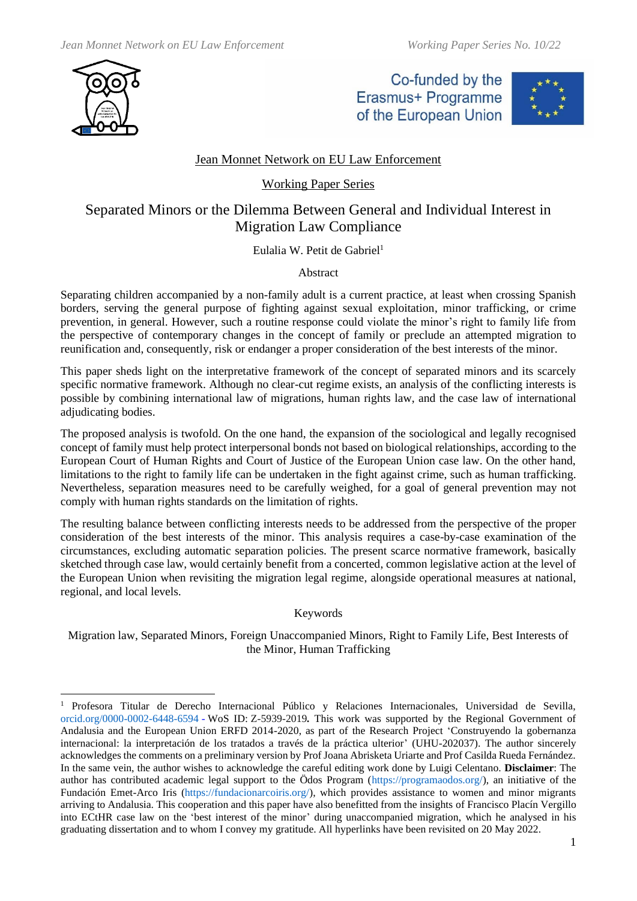

Co-funded by the Erasmus+ Programme of the European Union



## Jean Monnet Network on EU Law Enforcement

### Working Paper Series

# Separated Minors or the Dilemma Between General and Individual Interest in Migration Law Compliance

Eulalia W. Petit de Gabriel<sup>1</sup>

### Abstract

Separating children accompanied by a non-family adult is a current practice, at least when crossing Spanish borders, serving the general purpose of fighting against sexual exploitation, minor trafficking, or crime prevention, in general. However, such a routine response could violate the minor's right to family life from the perspective of contemporary changes in the concept of family or preclude an attempted migration to reunification and, consequently, risk or endanger a proper consideration of the best interests of the minor.

This paper sheds light on the interpretative framework of the concept of separated minors and its scarcely specific normative framework. Although no clear-cut regime exists, an analysis of the conflicting interests is possible by combining international law of migrations, human rights law, and the case law of international adjudicating bodies.

The proposed analysis is twofold. On the one hand, the expansion of the sociological and legally recognised concept of family must help protect interpersonal bonds not based on biological relationships, according to the European Court of Human Rights and Court of Justice of the European Union case law. On the other hand, limitations to the right to family life can be undertaken in the fight against crime, such as human trafficking. Nevertheless, separation measures need to be carefully weighed, for a goal of general prevention may not comply with human rights standards on the limitation of rights.

The resulting balance between conflicting interests needs to be addressed from the perspective of the proper consideration of the best interests of the minor. This analysis requires a case-by-case examination of the circumstances, excluding automatic separation policies. The present scarce normative framework, basically sketched through case law, would certainly benefit from a concerted, common legislative action at the level of the European Union when revisiting the migration legal regime, alongside operational measures at national, regional, and local levels.

### Keywords

Migration law, Separated Minors, Foreign Unaccompanied Minors, Right to Family Life, Best Interests of the Minor, Human Trafficking

<sup>1</sup> Profesora Titular de Derecho Internacional Público y Relaciones Internacionales, Universidad de Sevilla, [orcid.org/0000-0002-6448-6594](https://orcid.org/0000-0002-6448-6594) - WoS ID: [Z-5939-2019](https://publons.com/researcher/Z-5939-2019/)*.* This work was supported by the Regional Government of Andalusia and the European Union ERFD 2014-2020, as part of the Research Project 'Construyendo la gobernanza internacional: la interpretación de los tratados a través de la práctica ulterior' (UHU-202037). The author sincerely acknowledges the comments on a preliminary version by Prof Joana Abrisketa Uriarte and Prof Casilda Rueda Fernández. In the same vein, the author wishes to acknowledge the careful editing work done by Luigi Celentano. **Disclaimer**: The author has contributed academic legal support to the Ödos Program [\(https://programaodos.org/\)](https://programaodos.org/), an initiative of the Fundación Emet-Arco Iris [\(https://fundacionarcoiris.org/\)](https://fundacionarcoiris.org/), which provides assistance to women and minor migrants arriving to Andalusia. This cooperation and this paper have also benefitted from the insights of Francisco Placín Vergillo into ECtHR case law on the 'best interest of the minor' during unaccompanied migration, which he analysed in his graduating dissertation and to whom I convey my gratitude. All hyperlinks have been revisited on 20 May 2022.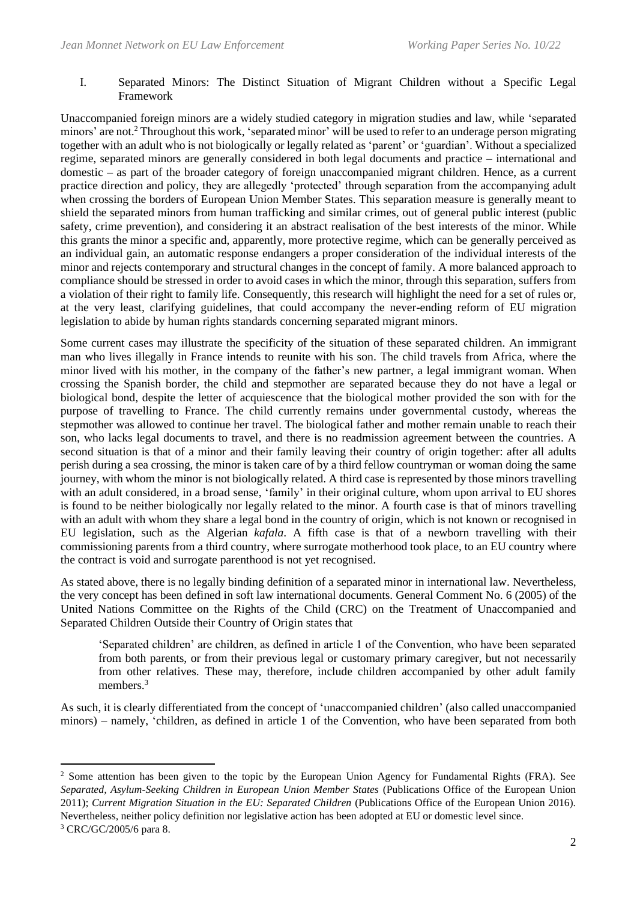#### I. Separated Minors: The Distinct Situation of Migrant Children without a Specific Legal Framework

Unaccompanied foreign minors are a widely studied category in migration studies and law, while 'separated minors' are not.<sup>2</sup> Throughout this work, 'separated minor' will be used to refer to an underage person migrating together with an adult who is not biologically or legally related as 'parent' or 'guardian'. Without a specialized regime, separated minors are generally considered in both legal documents and practice – international and domestic – as part of the broader category of foreign unaccompanied migrant children. Hence, as a current practice direction and policy, they are allegedly 'protected' through separation from the accompanying adult when crossing the borders of European Union Member States. This separation measure is generally meant to shield the separated minors from human trafficking and similar crimes, out of general public interest (public safety, crime prevention), and considering it an abstract realisation of the best interests of the minor. While this grants the minor a specific and, apparently, more protective regime, which can be generally perceived as an individual gain, an automatic response endangers a proper consideration of the individual interests of the minor and rejects contemporary and structural changes in the concept of family. A more balanced approach to compliance should be stressed in order to avoid cases in which the minor, through this separation, suffers from a violation of their right to family life. Consequently, this research will highlight the need for a set of rules or, at the very least, clarifying guidelines, that could accompany the never-ending reform of EU migration legislation to abide by human rights standards concerning separated migrant minors.

Some current cases may illustrate the specificity of the situation of these separated children. An immigrant man who lives illegally in France intends to reunite with his son. The child travels from Africa, where the minor lived with his mother, in the company of the father's new partner, a legal immigrant woman. When crossing the Spanish border, the child and stepmother are separated because they do not have a legal or biological bond, despite the letter of acquiescence that the biological mother provided the son with for the purpose of travelling to France. The child currently remains under governmental custody, whereas the stepmother was allowed to continue her travel. The biological father and mother remain unable to reach their son, who lacks legal documents to travel, and there is no readmission agreement between the countries. A second situation is that of a minor and their family leaving their country of origin together: after all adults perish during a sea crossing, the minor is taken care of by a third fellow countryman or woman doing the same journey, with whom the minor is not biologically related. A third case is represented by those minors travelling with an adult considered, in a broad sense, 'family' in their original culture, whom upon arrival to EU shores is found to be neither biologically nor legally related to the minor. A fourth case is that of minors travelling with an adult with whom they share a legal bond in the country of origin, which is not known or recognised in EU legislation, such as the Algerian *kafala*. A fifth case is that of a newborn travelling with their commissioning parents from a third country, where surrogate motherhood took place, to an EU country where the contract is void and surrogate parenthood is not yet recognised.

As stated above, there is no legally binding definition of a separated minor in international law. Nevertheless, the very concept has been defined in soft law international documents. General Comment No. 6 (2005) of the United Nations Committee on the Rights of the Child (CRC) on the Treatment of Unaccompanied and Separated Children Outside their Country of Origin states that

'Separated children' are children, as defined in article 1 of the Convention, who have been separated from both parents, or from their previous legal or customary primary caregiver, but not necessarily from other relatives. These may, therefore, include children accompanied by other adult family members.<sup>3</sup>

As such, it is clearly differentiated from the concept of 'unaccompanied children' (also called unaccompanied minors) – namely, 'children, as defined in article 1 of the Convention, who have been separated from both

<sup>&</sup>lt;sup>2</sup> Some attention has been given to the topic by the European Union Agency for Fundamental Rights (FRA). See *Separated, Asylum-Seeking Children in European Union Member States* (Publications Office of the European Union 2011); *Current Migration Situation in the EU: Separated Children* (Publications Office of the European Union 2016). Nevertheless, neither policy definition nor legislative action has been adopted at EU or domestic level since.

<sup>3</sup> CRC/GC/2005/6 para 8.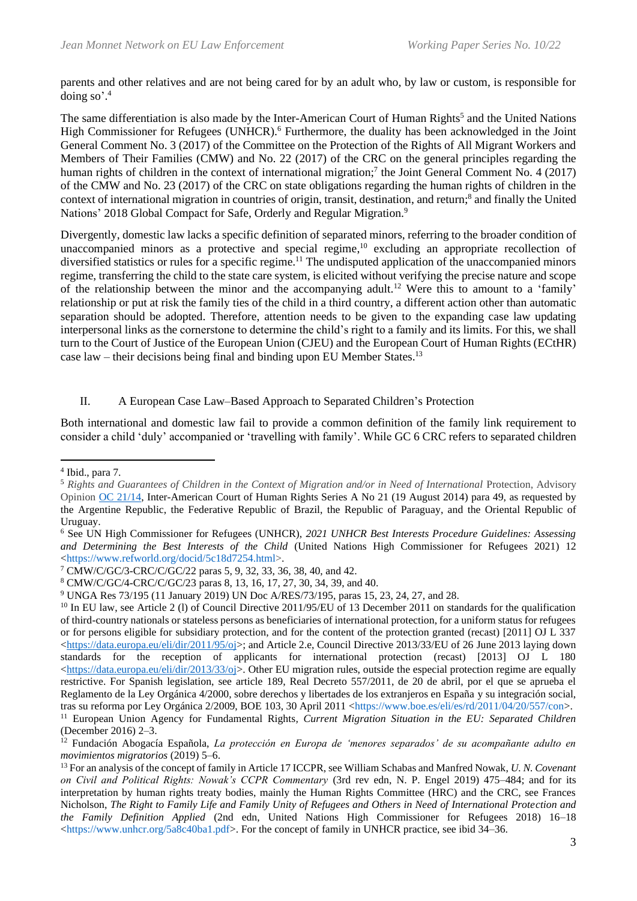parents and other relatives and are not being cared for by an adult who, by law or custom, is responsible for doing so'. 4

The same differentiation is also made by the Inter-American Court of Human Rights<sup>5</sup> and the United Nations High Commissioner for Refugees (UNHCR). <sup>6</sup> Furthermore, the duality has been acknowledged in the Joint General Comment No. 3 (2017) of the Committee on the Protection of the Rights of All Migrant Workers and Members of Their Families (CMW) and No. 22 (2017) of the CRC on the general principles regarding the human rights of children in the context of international migration;<sup>7</sup> the Joint General Comment No. 4 (2017) of the CMW and No. 23 (2017) of the CRC on state obligations regarding the human rights of children in the context of international migration in countries of origin, transit, destination, and return;<sup>8</sup> and finally the United Nations' 2018 Global Compact for Safe, Orderly and Regular Migration.<sup>9</sup>

Divergently, domestic law lacks a specific definition of separated minors, referring to the broader condition of unaccompanied minors as a protective and special regime,<sup>10</sup> excluding an appropriate recollection of diversified statistics or rules for a specific regime.<sup>11</sup> The undisputed application of the unaccompanied minors regime, transferring the child to the state care system, is elicited without verifying the precise nature and scope of the relationship between the minor and the accompanying adult.<sup>12</sup> Were this to amount to a 'family' relationship or put at risk the family ties of the child in a third country, a different action other than automatic separation should be adopted. Therefore, attention needs to be given to the expanding case law updating interpersonal links as the cornerstone to determine the child's right to a family and its limits. For this, we shall turn to the Court of Justice of the European Union (CJEU) and the European Court of Human Rights (ECtHR) case law – their decisions being final and binding upon EU Member States.<sup>13</sup>

#### II. A European Case Law–Based Approach to Separated Children's Protection

Both international and domestic law fail to provide a common definition of the family link requirement to consider a child 'duly' accompanied or 'travelling with family'. While GC 6 CRC refers to separated children

<sup>4</sup> Ibid., para 7.

<sup>&</sup>lt;sup>5</sup> Rights and Guarantees of Children in the Context of Migration and/or in Need of International Protection, Advisory Opinion OC [21/14,](https://www.refworld.org/cases,IACRTHR,54129c854.html) Inter-American Court of Human Rights Series A No 21 (19 August 2014) para 49, as requested by the Argentine Republic, the Federative Republic of Brazil, the Republic of Paraguay, and the Oriental Republic of Uruguay.

<sup>6</sup> See UN High Commissioner for Refugees (UNHCR), *2021 UNHCR Best Interests Procedure Guidelines: Assessing and Determining the Best Interests of the Child* (United Nations High Commissioner for Refugees 2021) 12 [<https://www.refworld.org/docid/5c18d7254.html>](https://www.refworld.org/docid/5c18d7254.html).

<sup>7</sup> CMW/C/GC/3-CRC/C/GC/22 paras 5, 9, 32, 33, 36, 38, 40, and 42.

<sup>8</sup> CMW/C/GC/4-CRC/C/GC/23 paras 8, 13, 16, 17, 27, 30, 34, 39, and 40.

<sup>9</sup> UNGA Res 73/195 (11 January 2019) UN Doc A/RES/73/195, paras 15, 23, 24, 27, and 28.

<sup>&</sup>lt;sup>10</sup> In EU law, see Article 2 (1) of Council Directive 2011/95/EU of 13 December 2011 on standards for the qualification of third-country nationals or stateless persons as beneficiaries of international protection, for a uniform status for refugees or for persons eligible for subsidiary protection, and for the content of the protection granted (recast) [2011] OJ L 337  $\langle$ https://data.europa.eu/eli/dir/2011/95/oj>; and Article 2.e, Council Directive 2013/33/EU of 26 June 2013 laying down standards for the reception of applicants for international protection (recast) [2013] OJ L 180  $\lt$ https://data.europa.eu/eli/dir/2013/33/oj>. Other EU migration rules, outside the especial protection regime are equally restrictive. For Spanish legislation, see article 189, Real Decreto 557/2011, de 20 de abril, por el que se aprueba el Reglamento de la Ley Orgánica 4/2000, sobre derechos y libertades de los extranjeros en España y su integración social, tras su reforma por Ley Orgánica 2/2009, BOE 103, 30 April 2011 [<https://www.boe.es/eli/es/rd/2011/04/20/557/con>](https://www.boe.es/eli/es/rd/2011/04/20/557/con). <sup>11</sup> European Union Agency for Fundamental Rights*, Current Migration Situation in the EU: Separated Children*

<sup>(</sup>December 2016) 2–3.

<sup>&</sup>lt;sup>12</sup> Fundación Abogacía Española, *La protección en Europa de 'menores separados' de su acompañante adulto en movimientos migratorios* (2019) 5–6.

<sup>13</sup> For an analysis of the concept of family in Article 17 ICCPR, see William Schabas and Manfred Nowak, *U. N. Covenant on Civil and Political Rights: Nowak's CCPR Commentary* (3rd rev edn, N. P. Engel 2019) 475–484; and for its interpretation by human rights treaty bodies, mainly the Human Rights Committee (HRC) and the CRC, see Frances Nicholson, *The Right to Family Life and Family Unity of Refugees and Others in Need of International Protection and the Family Definition Applied* (2nd edn, United Nations High Commissioner for Refugees 2018) 16–18 [<https://www.unhcr.org/5a8c40ba1.pdf>](https://www.unhcr.org/5a8c40ba1.pdf). For the concept of family in UNHCR practice, see ibid 34–36.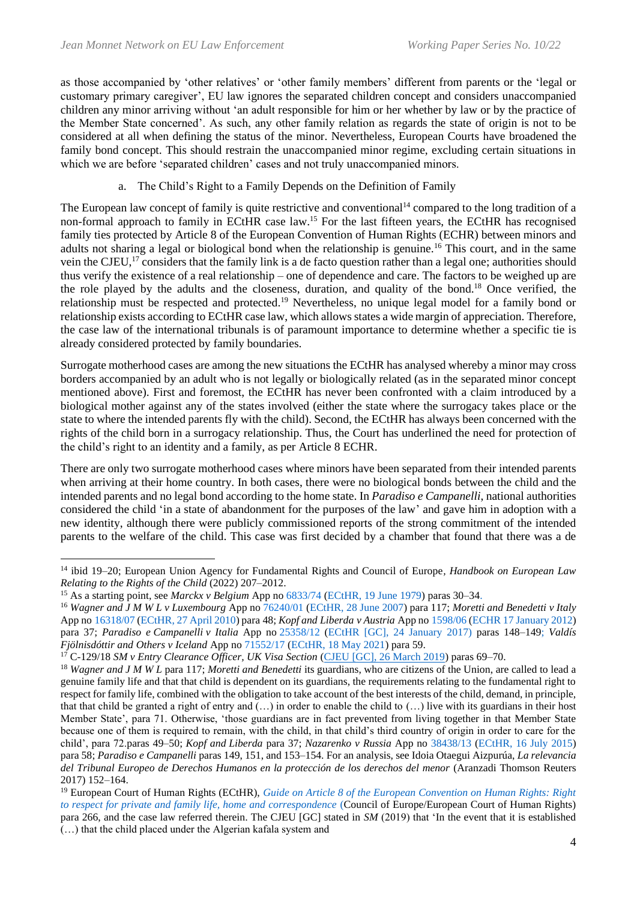as those accompanied by 'other relatives' or 'other family members' different from parents or the 'legal or customary primary caregiver', EU law ignores the separated children concept and considers unaccompanied children any minor arriving without 'an adult responsible for him or her whether by law or by the practice of the Member State concerned'. As such, any other family relation as regards the state of origin is not to be considered at all when defining the status of the minor. Nevertheless, European Courts have broadened the family bond concept. This should restrain the unaccompanied minor regime, excluding certain situations in which we are before 'separated children' cases and not truly unaccompanied minors.

### a. The Child's Right to a Family Depends on the Definition of Family

The European law concept of family is quite restrictive and conventional<sup>14</sup> compared to the long tradition of a non-formal approach to family in ECtHR case law.<sup>15</sup> For the last fifteen years, the ECtHR has recognised family ties protected by Article 8 of the European Convention of Human Rights (ECHR) between minors and adults not sharing a legal or biological bond when the relationship is genuine.<sup>16</sup> This court, and in the same vein the CJEU,<sup>17</sup> considers that the family link is a de facto question rather than a legal one; authorities should thus verify the existence of a real relationship – one of dependence and care. The factors to be weighed up are the role played by the adults and the closeness, duration, and quality of the bond.<sup>18</sup> Once verified, the relationship must be respected and protected.<sup>19</sup> Nevertheless, no unique legal model for a family bond or relationship exists according to ECtHR case law, which allows states a wide margin of appreciation. Therefore, the case law of the international tribunals is of paramount importance to determine whether a specific tie is already considered protected by family boundaries.

Surrogate motherhood cases are among the new situations the ECtHR has analysed whereby a minor may cross borders accompanied by an adult who is not legally or biologically related (as in the separated minor concept mentioned above). First and foremost, the ECtHR has never been confronted with a claim introduced by a biological mother against any of the states involved (either the state where the surrogacy takes place or the state to where the intended parents fly with the child). Second, the ECtHR has always been concerned with the rights of the child born in a surrogacy relationship. Thus, the Court has underlined the need for protection of the child's right to an identity and a family, as per Article 8 ECHR.

There are only two surrogate motherhood cases where minors have been separated from their intended parents when arriving at their home country. In both cases, there were no biological bonds between the child and the intended parents and no legal bond according to the home state. In *Paradiso e Campanelli*, national authorities considered the child 'in a state of abandonment for the purposes of the law' and gave him in adoption with a new identity, although there were publicly commissioned reports of the strong commitment of the intended parents to the welfare of the child. This case was first decided by a chamber that found that there was a de

<sup>14</sup> ibid 19–20; European Union Agency for Fundamental Rights and Council of Europe*, Handbook on European Law Relating to the Rights of the Child* (2022) 207–2012.

<sup>15</sup> As a starting point, see *Marckx v Belgium* App no [6833/74](https://hudoc.echr.coe.int/eng#{%22appno%22:[%226833/74%22]}) [\(ECtHR, 19 June 1979\)](https://hudoc.echr.coe.int/eng?i=001-57534) paras 30–34.

<sup>16</sup> *Wagner and J M W L v Luxembourg* App no [76240/01](https://hudoc.echr.coe.int/eng#{%22appno%22:[%2276240/01%22]}) [\(ECtHR, 28 June 2007\)](https://hudoc.echr.coe.int/eng?i=001-81328) para 117; *Moretti and Benedetti v Italy* App no [16318/07](https://hudoc.echr.coe.int/eng#{%22appno%22:[%2216318/07%22]}) [\(ECtHR, 27 April 2010\)](http://hudoc.echr.coe.int/eng?i=001-98441) para 48; *Kopf and Liberda v Austria* App no [1598/06](https://hudoc.echr.coe.int/eng#{%22appno%22:[%221598/06%22]}) [\(ECHR 17 January 2012\)](http://hudoc.echr.coe.int/eng?i=001-108686) para 37; *Paradiso e Campanelli v Italia* App no [25358/12](https://hudoc.echr.coe.int/eng#{%22appno%22:[%2225358/12%22]}) (ECtHR [GC], 24 [January](http://hudoc.echr.coe.int/eng?i=001-170359) 2017) paras 148–149; *Valdís Fjölnisdóttir and Others v Iceland* App no [71552/17](https://hudoc.echr.coe.int/eng#{%22appno%22:[%2271552/17%22]}) [\(ECtHR, 18 May 2021\)](http://hudoc.echr.coe.int/eng?i=001-209992) para 59.

<sup>17</sup> C-129/18 *SM v Entry Clearance Officer, UK Visa Section* [\(CJEU \[GC\], 26 March 2019\)](https://curia.europa.eu/juris/document/document.jsf;jsessionid=E021315E03CC1D33E229103561BE4084?text=&docid=212226&pageIndex=0&doclang=EN&mode=lst&dir=&occ=first&part=1&cid=941980) paras 69–70.

<sup>18</sup> *Wagner and J M W L* para 117; *Moretti and Benedetti* its guardians, who are citizens of the Union, are called to lead a genuine family life and that that child is dependent on its guardians, the requirements relating to the fundamental right to respect for family life, combined with the obligation to take account of the best interests of the child, demand, in principle, that that child be granted a right of entry and  $(...)$  in order to enable the child to  $(...)$  live with its guardians in their host Member State', para 71. Otherwise, 'those guardians are in fact prevented from living together in that Member State because one of them is required to remain, with the child, in that child's third country of origin in order to care for the child', para 72.paras 49–50; *Kopf and Liberda* para 37; *Nazarenko v Russia* App no [38438/13](https://hudoc.echr.coe.int/eng#{%22appno%22:[%2239438/13%22]}) [\(ECtHR, 16 July 2015\)](https://hudoc.echr.coe.int/eng?i=001-156084) para 58; *Paradiso e Campanelli* paras 149, 151, and 153–154. For an analysis, see Idoia Otaegui Aizpurúa, *La relevancia del Tribunal Europeo de Derechos Humanos en la protección de los derechos del menor* (Aranzadi Thomson Reuters 2017) 152–164.

<sup>19</sup> European Court of Human Rights (ECtHR), *[Guide on Article 8 of the European Convention on Human Rights: Right](https://www.echr.coe.int/documents/guide_art_8_eng.pdf)  [to respect for private and family life, home and correspondence](https://www.echr.coe.int/documents/guide_art_8_eng.pdf)* (Council of Europe/European Court of Human Rights) para 266, and the case law referred therein. The CJEU [GC] stated in *SM* (2019) that 'In the event that it is established (…) that the child placed under the Algerian kafala system and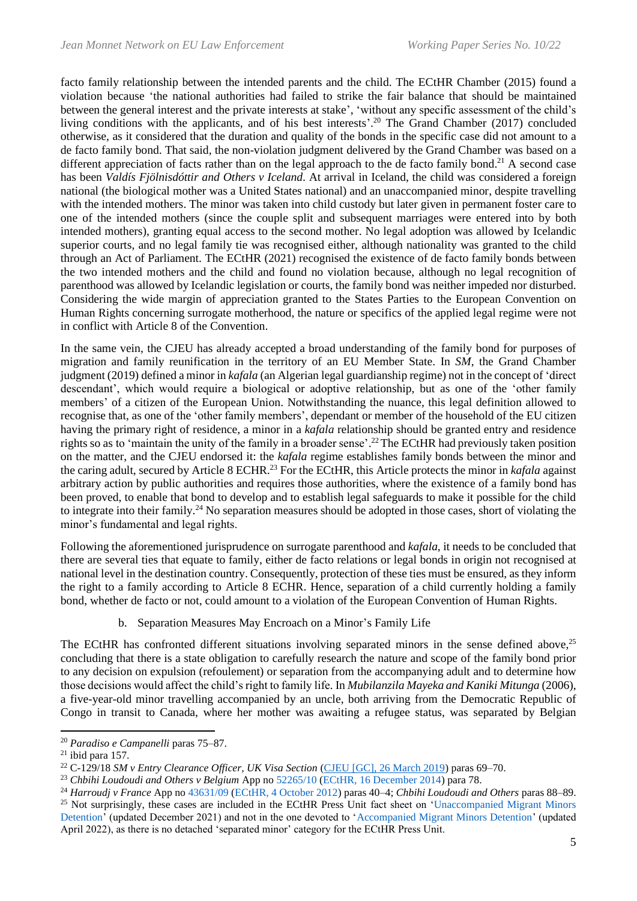facto family relationship between the intended parents and the child. The ECtHR Chamber (2015) found a violation because 'the national authorities had failed to strike the fair balance that should be maintained between the general interest and the private interests at stake', 'without any specific assessment of the child's living conditions with the applicants, and of his best interests'.<sup>20</sup> The Grand Chamber (2017) concluded otherwise, as it considered that the duration and quality of the bonds in the specific case did not amount to a de facto family bond. That said, the non-violation judgment delivered by the Grand Chamber was based on a different appreciation of facts rather than on the legal approach to the de facto family bond.<sup>21</sup> A second case has been *Valdís Fjölnisdóttir and Others v Iceland*. At arrival in Iceland, the child was considered a foreign national (the biological mother was a United States national) and an unaccompanied minor, despite travelling with the intended mothers. The minor was taken into child custody but later given in permanent foster care to one of the intended mothers (since the couple split and subsequent marriages were entered into by both intended mothers), granting equal access to the second mother. No legal adoption was allowed by Icelandic superior courts, and no legal family tie was recognised either, although nationality was granted to the child through an Act of Parliament. The ECtHR (2021) recognised the existence of de facto family bonds between the two intended mothers and the child and found no violation because, although no legal recognition of parenthood was allowed by Icelandic legislation or courts, the family bond was neither impeded nor disturbed. Considering the wide margin of appreciation granted to the States Parties to the European Convention on Human Rights concerning surrogate motherhood, the nature or specifics of the applied legal regime were not in conflict with Article 8 of the Convention.

In the same vein, the CJEU has already accepted a broad understanding of the family bond for purposes of migration and family reunification in the territory of an EU Member State. In *SM*, the Grand Chamber judgment (2019) defined a minor in *kafala* (an Algerian legal guardianship regime) not in the concept of 'direct descendant', which would require a biological or adoptive relationship, but as one of the 'other family members' of a citizen of the European Union. Notwithstanding the nuance, this legal definition allowed to recognise that, as one of the 'other family members', dependant or member of the household of the EU citizen having the primary right of residence, a minor in a *kafala* relationship should be granted entry and residence rights so as to 'maintain the unity of the family in a broader sense'. <sup>22</sup>The ECtHR had previously taken position on the matter, and the CJEU endorsed it: the *kafala* regime establishes family bonds between the minor and the caring adult, secured by Article 8 ECHR.<sup>23</sup> For the ECtHR, this Article protects the minor in *kafala* against arbitrary action by public authorities and requires those authorities, where the existence of a family bond has been proved, to enable that bond to develop and to establish legal safeguards to make it possible for the child to integrate into their family.<sup>24</sup> No separation measures should be adopted in those cases, short of violating the minor's fundamental and legal rights.

Following the aforementioned jurisprudence on surrogate parenthood and *kafala*, it needs to be concluded that there are several ties that equate to family, either de facto relations or legal bonds in origin not recognised at national level in the destination country. Consequently, protection of these ties must be ensured, as they inform the right to a family according to Article 8 ECHR. Hence, separation of a child currently holding a family bond, whether de facto or not, could amount to a violation of the European Convention of Human Rights.

b. Separation Measures May Encroach on a Minor's Family Life

The ECtHR has confronted different situations involving separated minors in the sense defined above,<sup>25</sup> concluding that there is a state obligation to carefully research the nature and scope of the family bond prior to any decision on expulsion (refoulement) or separation from the accompanying adult and to determine how those decisions would affect the child's right to family life*.* In *Mubilanzila Mayeka and Kaniki Mitunga* (2006), a five-year-old minor travelling accompanied by an uncle, both arriving from the Democratic Republic of Congo in transit to Canada, where her mother was awaiting a refugee status, was separated by Belgian

<sup>20</sup> *Paradiso e Campanelli* paras 75–87.

 $21$  ibid para 157.

<sup>22</sup> C-129/18 *SM v Entry Clearance Officer, UK Visa Section* (CJEU [\[GC\], 26 March 2019\)](https://curia.europa.eu/juris/document/document.jsf;jsessionid=E021315E03CC1D33E229103561BE4084?text=&docid=212226&pageIndex=0&doclang=EN&mode=lst&dir=&occ=first&part=1&cid=941980) paras 69–70.

<sup>23</sup> *Chbihi Loudoudi and Others v Belgium* App no [52265/10](https://hudoc.echr.coe.int/eng#{%22appno%22:[%2252265/10%22]}) [\(ECtHR, 16 December 2014\)](https://hudoc.echr.coe.int/eng?i=001-149111) para 78.

<sup>24</sup> *Harroudj v France* App no [43631/09](https://hudoc.echr.coe.int/eng#{%22appno%22:[%2243631/09%22]}) [\(ECtHR, 4 October 2012\)](https://hudoc.echr.coe.int/eng#{%22itemid%22:[%22001-113819%22]}) paras 40–4; *Chbihi Loudoudi and Others* paras 88–89. <sup>25</sup> Not surprisingly, these cases are included in the ECtHR Press Unit fact sheet on 'Unaccompanied Migrant Minors [Detention'](https://www.echr.coe.int/Documents/FS_Unaccompanied_migrant_minors_detention_ENG.pdf) (updated December 2021) and not in the one devoted to ['Accompanied Migrant Minors Detention'](https://www.echr.coe.int/Documents/FS_Accompanied_migrant_minors_detention_ENG.pdf) (updated April 2022), as there is no detached 'separated minor' category for the ECtHR Press Unit.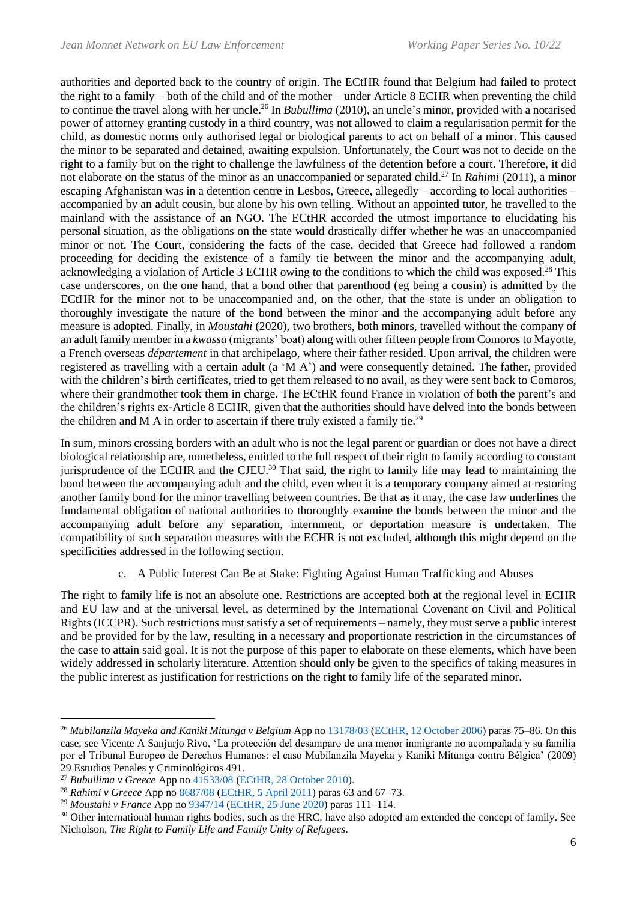authorities and deported back to the country of origin. The ECtHR found that Belgium had failed to protect the right to a family – both of the child and of the mother – under Article 8 ECHR when preventing the child to continue the travel along with her uncle. <sup>26</sup> In *Bubullima* (2010), an uncle's minor, provided with a notarised power of attorney granting custody in a third country, was not allowed to claim a regularisation permit for the child, as domestic norms only authorised legal or biological parents to act on behalf of a minor. This caused the minor to be separated and detained, awaiting expulsion. Unfortunately, the Court was not to decide on the right to a family but on the right to challenge the lawfulness of the detention before a court. Therefore, it did not elaborate on the status of the minor as an unaccompanied or separated child. <sup>27</sup> In *Rahimi* (2011), a minor escaping Afghanistan was in a detention centre in Lesbos, Greece, allegedly – according to local authorities – accompanied by an adult cousin, but alone by his own telling. Without an appointed tutor, he travelled to the mainland with the assistance of an NGO. The ECtHR accorded the utmost importance to elucidating his personal situation, as the obligations on the state would drastically differ whether he was an unaccompanied minor or not. The Court, considering the facts of the case, decided that Greece had followed a random proceeding for deciding the existence of a family tie between the minor and the accompanying adult, acknowledging a violation of Article 3 ECHR owing to the conditions to which the child was exposed.<sup>28</sup> This case underscores, on the one hand, that a bond other that parenthood (eg being a cousin) is admitted by the ECtHR for the minor not to be unaccompanied and, on the other, that the state is under an obligation to thoroughly investigate the nature of the bond between the minor and the accompanying adult before any measure is adopted. Finally, in *Moustahi* (2020), two brothers, both minors, travelled without the company of an adult family member in a *kwassa* (migrants' boat) along with other fifteen people from Comoros to Mayotte, a French overseas *département* in that archipelago, where their father resided. Upon arrival, the children were registered as travelling with a certain adult (a 'M A') and were consequently detained. The father, provided with the children's birth certificates, tried to get them released to no avail, as they were sent back to Comoros, where their grandmother took them in charge. The ECtHR found France in violation of both the parent's and the children's rights ex-Article 8 ECHR, given that the authorities should have delved into the bonds between the children and M A in order to ascertain if there truly existed a family tie.<sup>29</sup>

In sum, minors crossing borders with an adult who is not the legal parent or guardian or does not have a direct biological relationship are, nonetheless, entitled to the full respect of their right to family according to constant jurisprudence of the ECtHR and the CJEU.<sup>30</sup> That said, the right to family life may lead to maintaining the bond between the accompanying adult and the child, even when it is a temporary company aimed at restoring another family bond for the minor travelling between countries. Be that as it may, the case law underlines the fundamental obligation of national authorities to thoroughly examine the bonds between the minor and the accompanying adult before any separation, internment, or deportation measure is undertaken. The compatibility of such separation measures with the ECHR is not excluded, although this might depend on the specificities addressed in the following section.

c. A Public Interest Can Be at Stake: Fighting Against Human Trafficking and Abuses

The right to family life is not an absolute one. Restrictions are accepted both at the regional level in ECHR and EU law and at the universal level, as determined by the International Covenant on Civil and Political Rights (ICCPR). Such restrictions must satisfy a set of requirements – namely, they must serve a public interest and be provided for by the law, resulting in a necessary and proportionate restriction in the circumstances of the case to attain said goal. It is not the purpose of this paper to elaborate on these elements, which have been widely addressed in scholarly literature. Attention should only be given to the specifics of taking measures in the public interest as justification for restrictions on the right to family life of the separated minor.

<sup>26</sup> *Mubilanzila Mayeka and Kaniki Mitunga v Belgium* App no [13178/03](https://hudoc.echr.coe.int/eng#{%22appno%22:[%2213178/03%22]}) [\(ECtHR, 12 October 2006\)](https://hudoc.echr.coe.int/eng?i=001-77447) paras 75–86. On this case, see Vicente A Sanjurjo Rivo, 'La protección del desamparo de una menor inmigrante no acompañada y su familia por el Tribunal Europeo de Derechos Humanos: el caso Mubilanzila Mayeka y Kaniki Mitunga contra Bélgica' (2009) 29 Estudios Penales y Criminológicos 491.

<sup>27</sup> *Bubullima v Greece* App no [41533/08](https://hudoc.echr.coe.int/eng#{%22appno%22:[%2241533/08%22]}) [\(ECtHR, 28 October 2010\)](https://hudoc.echr.coe.int/eng?i=001-101345).

<sup>28</sup> *Rahimi v Greece* App no [8687/08](https://hudoc.echr.coe.int/eng#{%22appno%22:[%228687/08%22]}) [\(ECtHR, 5 April 2011\)](https://hudoc.echr.coe.int/eng?i=001-104366) paras 63 and 67–73.

<sup>29</sup> *Moustahi v France* App no [9347/14](https://hudoc.echr.coe.int/eng#{%22appno%22:[%229347/14%22]}) [\(ECtHR, 25 June 2020\)](https://hudoc.echr.coe.int/eng?i=001-203163) paras 111–114.

<sup>&</sup>lt;sup>30</sup> Other international human rights bodies, such as the HRC, have also adopted am extended the concept of family. See Nicholson, *The Right to Family Life and Family Unity of Refugees*.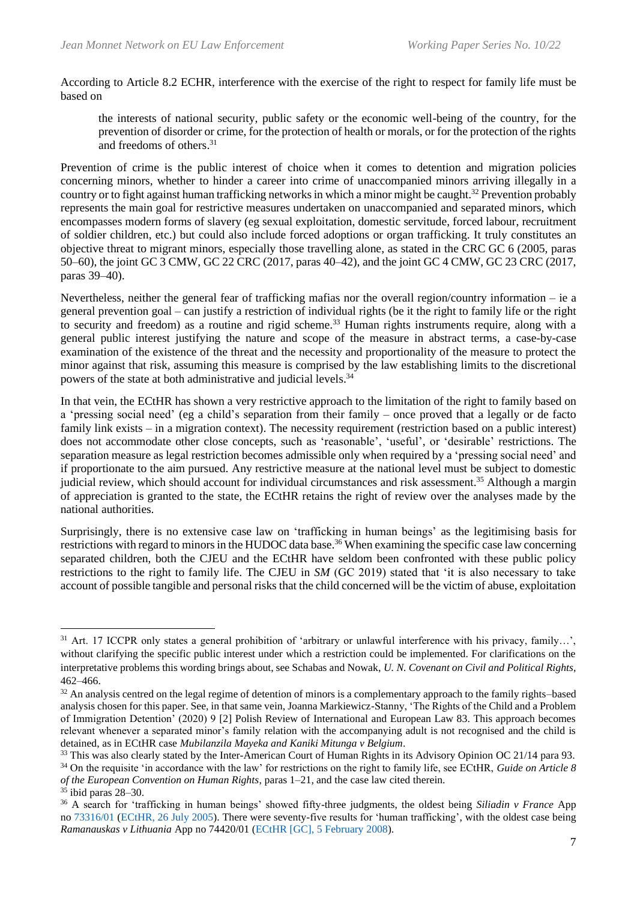According to Article 8.2 ECHR, interference with the exercise of the right to respect for family life must be based on

the interests of national security, public safety or the economic well-being of the country, for the prevention of disorder or crime, for the protection of health or morals, or for the protection of the rights and freedoms of others. 31

Prevention of crime is the public interest of choice when it comes to detention and migration policies concerning minors, whether to hinder a career into crime of unaccompanied minors arriving illegally in a country or to fight against human trafficking networks in which a minor might be caught.<sup>32</sup> Prevention probably represents the main goal for restrictive measures undertaken on unaccompanied and separated minors, which encompasses modern forms of slavery (eg sexual exploitation, domestic servitude, forced labour, recruitment of soldier children, etc.) but could also include forced adoptions or organ trafficking. It truly constitutes an objective threat to migrant minors, especially those travelling alone, as stated in the CRC GC 6 (2005, paras 50–60), the joint GC 3 CMW, GC 22 CRC (2017, paras 40–42), and the joint GC 4 CMW, GC 23 CRC (2017, paras 39–40).

Nevertheless, neither the general fear of trafficking mafias nor the overall region/country information – ie a general prevention goal – can justify a restriction of individual rights (be it the right to family life or the right to security and freedom) as a routine and rigid scheme.<sup>33</sup> Human rights instruments require, along with a general public interest justifying the nature and scope of the measure in abstract terms, a case-by-case examination of the existence of the threat and the necessity and proportionality of the measure to protect the minor against that risk, assuming this measure is comprised by the law establishing limits to the discretional powers of the state at both administrative and judicial levels.<sup>34</sup>

In that vein, the ECtHR has shown a very restrictive approach to the limitation of the right to family based on a 'pressing social need' (eg a child's separation from their family – once proved that a legally or de facto family link exists – in a migration context). The necessity requirement (restriction based on a public interest) does not accommodate other close concepts, such as 'reasonable', 'useful', or 'desirable' restrictions. The separation measure as legal restriction becomes admissible only when required by a 'pressing social need' and if proportionate to the aim pursued. Any restrictive measure at the national level must be subject to domestic judicial review, which should account for individual circumstances and risk assessment.<sup>35</sup> Although a margin of appreciation is granted to the state, the ECtHR retains the right of review over the analyses made by the national authorities.

Surprisingly, there is no extensive case law on 'trafficking in human beings' as the legitimising basis for restrictions with regard to minors in the HUDOC data base.<sup>36</sup> When examining the specific case law concerning separated children, both the CJEU and the ECtHR have seldom been confronted with these public policy restrictions to the right to family life. The CJEU in *SM* (GC 2019) stated that 'it is also necessary to take account of possible tangible and personal risks that the child concerned will be the victim of abuse, exploitation

<sup>&</sup>lt;sup>31</sup> Art. 17 ICCPR only states a general prohibition of 'arbitrary or unlawful interference with his privacy, family...', without clarifying the specific public interest under which a restriction could be implemented. For clarifications on the interpretative problems this wording brings about, see Schabas and Nowak, *U. N. Covenant on Civil and Political Rights*, 462–466.

 $32$  An analysis centred on the legal regime of detention of minors is a complementary approach to the family rights–based analysis chosen for this paper. See, in that same vein, Joanna Markiewicz-Stanny, 'The Rights of the Child and a Problem of Immigration Detention' (2020) 9 [2] Polish Review of International and European Law 83. This approach becomes relevant whenever a separated minor's family relation with the accompanying adult is not recognised and the child is detained, as in ECtHR case *Mubilanzila Mayeka and Kaniki Mitunga v Belgium*.

<sup>&</sup>lt;sup>33</sup> This was also clearly stated by the Inter-American Court of Human Rights in its Advisory Opinion OC 21/14 para 93. <sup>34</sup> On the requisite 'in accordance with the law' for restrictions on the right to family life, see ECtHR, *Guide on Article 8 of the European Convention on Human Rights*, paras 1–21, and the case law cited therein.

 $35$  ibid paras 28–30.

<sup>36</sup> A search for 'trafficking in human beings' showed fifty-three judgments, the oldest being *Siliadin v France* App no [73316/01](https://hudoc.echr.coe.int/eng#{%22appno%22:[%2273316/01%22]}) [\(ECtHR, 26 July 2005\)](https://hudoc.echr.coe.int/eng?i=001-69891). There were seventy-five results for 'human trafficking', with the oldest case being *Ramanauskas v Lithuania* App no 74420/01 [\(ECtHR \[GC\],](https://hudoc.echr.coe.int/fre?i=001-84935) 5 February 2008).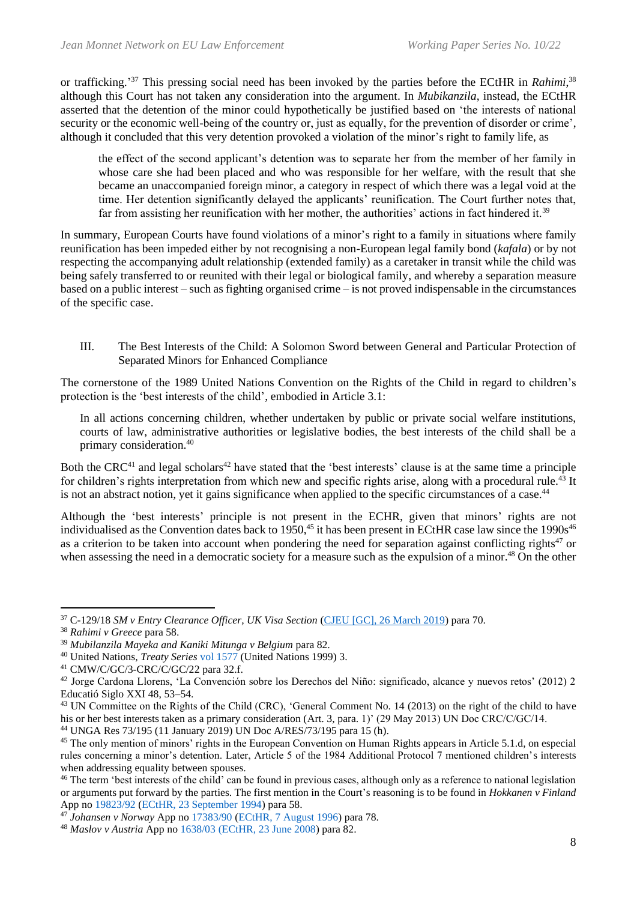or trafficking.'<sup>37</sup> This pressing social need has been invoked by the parties before the ECtHR in *Rahimi*,<sup>38</sup> although this Court has not taken any consideration into the argument. In *Mubikanzila*, instead, the ECtHR asserted that the detention of the minor could hypothetically be justified based on 'the interests of national security or the economic well-being of the country or, just as equally, for the prevention of disorder or crime', although it concluded that this very detention provoked a violation of the minor's right to family life, as

the effect of the second applicant's detention was to separate her from the member of her family in whose care she had been placed and who was responsible for her welfare, with the result that she became an unaccompanied foreign minor, a category in respect of which there was a legal void at the time. Her detention significantly delayed the applicants' reunification. The Court further notes that, far from assisting her reunification with her mother, the authorities' actions in fact hindered it.<sup>39</sup>

In summary, European Courts have found violations of a minor's right to a family in situations where family reunification has been impeded either by not recognising a non-European legal family bond (*kafala*) or by not respecting the accompanying adult relationship (extended family) as a caretaker in transit while the child was being safely transferred to or reunited with their legal or biological family, and whereby a separation measure based on a public interest – such as fighting organised crime – is not proved indispensable in the circumstances of the specific case.

III. The Best Interests of the Child: A Solomon Sword between General and Particular Protection of Separated Minors for Enhanced Compliance

The cornerstone of the 1989 United Nations Convention on the Rights of the Child in regard to children's protection is the 'best interests of the child', embodied in Article 3.1:

In all actions concerning children, whether undertaken by public or private social welfare institutions, courts of law, administrative authorities or legislative bodies, the best interests of the child shall be a primary consideration.<sup>40</sup>

Both the CRC<sup>41</sup> and legal scholars<sup>42</sup> have stated that the 'best interests' clause is at the same time a principle for children's rights interpretation from which new and specific rights arise, along with a procedural rule.<sup>43</sup> It is not an abstract notion, yet it gains significance when applied to the specific circumstances of a case.<sup>44</sup>

Although the 'best interests' principle is not present in the ECHR, given that minors' rights are not individualised as the Convention dates back to  $1950<sup>45</sup>$  it has been present in ECtHR case law since the  $1990s<sup>46</sup>$ as a criterion to be taken into account when pondering the need for separation against conflicting rights<sup>47</sup> or when assessing the need in a democratic society for a measure such as the expulsion of a minor.<sup>48</sup> On the other

<sup>44</sup> UNGA Res 73/195 (11 January 2019) UN Doc A/RES/73/195 para 15 (h).

<sup>37</sup> C-129/18 *SM v Entry Clearance Officer, UK Visa Section* [\(CJEU \[GC\], 26 March 2019\)](https://curia.europa.eu/juris/document/document.jsf;jsessionid=E021315E03CC1D33E229103561BE4084?text=&docid=212226&pageIndex=0&doclang=EN&mode=lst&dir=&occ=first&part=1&cid=941980) para 70.

<sup>38</sup> *Rahimi v Greece* para 58.

<sup>39</sup> *Mubilanzila Mayeka and Kaniki Mitunga v Belgium* para 82.

<sup>40</sup> United Nations, *Treaty Series* [vol 1577](http://treaties.un.org/doc/Publication/UNTS/Volume%201577/v1577.pdf) (United Nations 1999) 3.

<sup>41</sup> CMW/C/GC/3-CRC/C/GC/22 para 32.f.

<sup>42</sup> Jorge Cardona Llorens, 'La Convención sobre los Derechos del Niño: significado, alcance y nuevos retos' (2012) 2 Educatió Siglo XXI 48, 53–54.

<sup>&</sup>lt;sup>43</sup> UN Committee on the Rights of the Child (CRC), 'General Comment No. 14 (2013) on the right of the child to have his or her best interests taken as a primary consideration (Art. 3, para. 1)' (29 May 2013) UN Doc CRC/C/GC/14.

<sup>&</sup>lt;sup>45</sup> The only mention of minors' rights in the European Convention on Human Rights appears in Article 5.1.d, on especial rules concerning a minor's detention. Later, Article 5 of the 1984 Additional Protocol 7 mentioned children's interests when addressing equality between spouses.

<sup>&</sup>lt;sup>46</sup> The term 'best interests of the child' can be found in previous cases, although only as a reference to national legislation or arguments put forward by the parties. The first mention in the Court's reasoning is to be found in *Hokkanen v Finland* App no [19823/92](https://hudoc.echr.coe.int/eng#{%22appno%22:[%2219823/92%22]}) [\(ECtHR, 23 September 1994\)](https://hudoc.echr.coe.int/eng#{%22itemid%22:[%22001-57911%22]}) para 58.

<sup>47</sup> *Johansen v Norway* App no [17383/90](https://hudoc.echr.coe.int/eng#{%22appno%22:[%2217383/90%22]}) [\(ECtHR, 7 August 1996\)](https://hudoc.echr.coe.int/eng#{%22itemid%22:[%22001-58059%22]}) para 78.

<sup>48</sup> *Maslov v Austria* App no [1638/03](https://hudoc.echr.coe.int/eng#{%22appno%22:[%221638/03%22]}) [\(ECtHR, 23 June 2008\)](https://hudoc.echr.coe.int/eng#{%22itemid%22:[%22001-87156%22]}) para 82.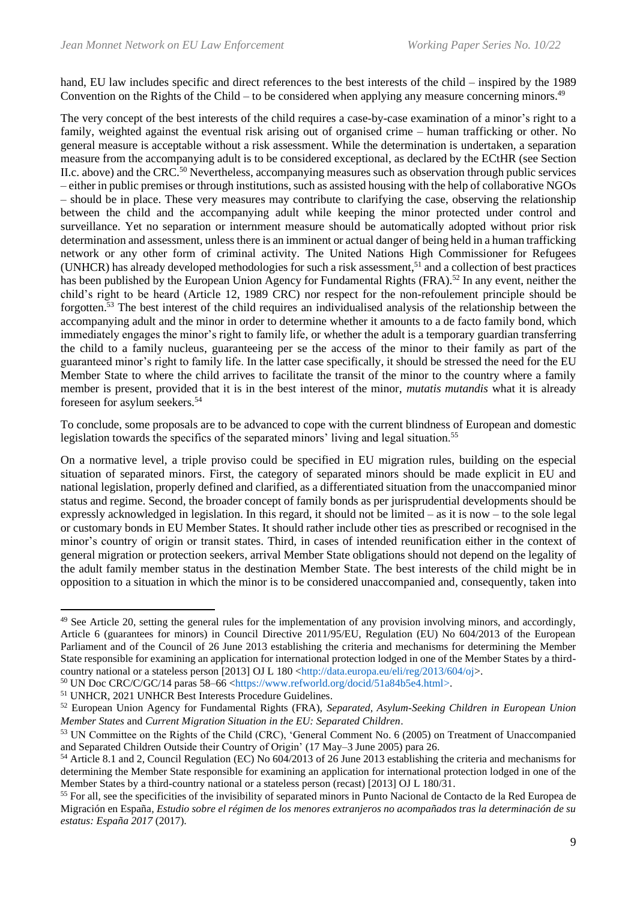hand, EU law includes specific and direct references to the best interests of the child – inspired by the 1989 Convention on the Rights of the Child – to be considered when applying any measure concerning minors. $49$ 

The very concept of the best interests of the child requires a case-by-case examination of a minor's right to a family, weighted against the eventual risk arising out of organised crime – human trafficking or other. No general measure is acceptable without a risk assessment. While the determination is undertaken, a separation measure from the accompanying adult is to be considered exceptional, as declared by the ECtHR (see Section II.c. above) and the CRC.<sup>50</sup> Nevertheless, accompanying measures such as observation through public services – either in public premises or through institutions, such as assisted housing with the help of collaborative NGOs – should be in place. These very measures may contribute to clarifying the case, observing the relationship between the child and the accompanying adult while keeping the minor protected under control and surveillance. Yet no separation or internment measure should be automatically adopted without prior risk determination and assessment, unless there is an imminent or actual danger of being held in a human trafficking network or any other form of criminal activity. The United Nations High Commissioner for Refugees (UNHCR) has already developed methodologies for such a risk assessment, <sup>51</sup> and a collection of best practices has been published by the European Union Agency for Fundamental Rights (FRA).<sup>52</sup> In any event, neither the child's right to be heard (Article 12, 1989 CRC) nor respect for the non-refoulement principle should be forgotten. <sup>53</sup> The best interest of the child requires an individualised analysis of the relationship between the accompanying adult and the minor in order to determine whether it amounts to a de facto family bond, which immediately engages the minor's right to family life, or whether the adult is a temporary guardian transferring the child to a family nucleus, guaranteeing per se the access of the minor to their family as part of the guaranteed minor's right to family life. In the latter case specifically, it should be stressed the need for the EU Member State to where the child arrives to facilitate the transit of the minor to the country where a family member is present, provided that it is in the best interest of the minor, *mutatis mutandis* what it is already foreseen for asylum seekers.<sup>54</sup>

To conclude, some proposals are to be advanced to cope with the current blindness of European and domestic legislation towards the specifics of the separated minors' living and legal situation.<sup>55</sup>

On a normative level, a triple proviso could be specified in EU migration rules, building on the especial situation of separated minors. First, the category of separated minors should be made explicit in EU and national legislation, properly defined and clarified, as a differentiated situation from the unaccompanied minor status and regime. Second, the broader concept of family bonds as per jurisprudential developments should be expressly acknowledged in legislation. In this regard, it should not be limited – as it is now – to the sole legal or customary bonds in EU Member States. It should rather include other ties as prescribed or recognised in the minor's country of origin or transit states. Third, in cases of intended reunification either in the context of general migration or protection seekers, arrival Member State obligations should not depend on the legality of the adult family member status in the destination Member State. The best interests of the child might be in opposition to a situation in which the minor is to be considered unaccompanied and, consequently, taken into

 $49$  See Article 20, setting the general rules for the implementation of any provision involving minors, and accordingly, Article 6 (guarantees for minors) in Council Directive 2011/95/EU, Regulation (EU) No 604/2013 of the European Parliament and of the Council of 26 June 2013 establishing the criteria and mechanisms for determining the Member State responsible for examining an application for international protection lodged in one of the Member States by a third-country national or a stateless person [2013] OJ L 180 [<http://data.europa.eu/eli/reg/2013/604/oj>](http://data.europa.eu/eli/reg/2013/604/oj).

<sup>50</sup> UN Doc CRC/C/GC/14 paras 58–66 [<https://www.refworld.org/docid/51a84b5e4.html>](https://www.refworld.org/docid/51a84b5e4.html).

<sup>51</sup> UNHCR, 2021 UNHCR Best Interests Procedure Guidelines.

<sup>52</sup> European Union Agency for Fundamental Rights (FRA), *Separated, Asylum-Seeking Children in European Union Member States* and *Current Migration Situation in the EU: Separated Children*.

<sup>53</sup> UN Committee on the Rights of the Child (CRC), 'General Comment No. 6 (2005) on Treatment of Unaccompanied and Separated Children Outside their Country of Origin' (17 May–3 June 2005) para 26.

<sup>54</sup> Article 8.1 and 2, Council Regulation (EC) No 604/2013 of 26 June 2013 establishing the criteria and mechanisms for determining the Member State responsible for examining an application for international protection lodged in one of the Member States by a third-country national or a stateless person (recast) [2013] OJ L 180/31.

<sup>&</sup>lt;sup>55</sup> For all, see the specificities of the invisibility of separated minors in Punto Nacional de Contacto de la Red Europea de Migración en España*, Estudio sobre el régimen de los menores extranjeros no acompañados tras la determinación de su estatus: España 2017* (2017).